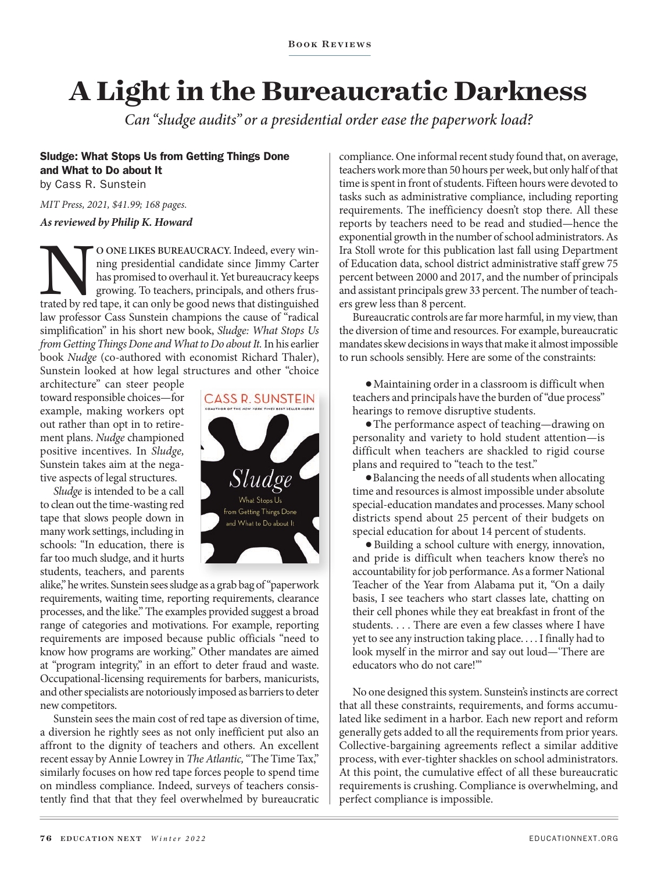# **A Light in the Bureaucratic Darkness**

*Can "sludge audits" or a presidential order ease the paperwork load?* 

## Sludge: What Stops Us from Getting Things Done and What to Do about It

by Cass R. Sunstein

*MIT Press, 2021, \$41.99; 168 pages.*

#### *As reviewed by Philip K. Howard*

O ONE LIKES BUREAUCRACY. Indeed, every winning presidential candidate since Jimmy Carter has promised to overhaul it. Yet bureaucracy keeps growing. To teachers, principals, and others frustrated by red tape, it can only b ning presidential candidate since Jimmy Carter has promised to overhaul it. Yet bureaucracy keeps growing. To teachers, principals, and others fruslaw professor Cass Sunstein champions the cause of "radical simplification" in his short new book, *Sludge: What Stops Us from Getting Things Done and What to Do about It. In his earlier* book *Nudge* (co-authored with economist Richard Thaler), Sunstein looked at how legal structures and other "choice

architecture" can steer people toward responsible choices—for example, making workers opt out rather than opt in to retirement plans. *Nudge* championed positive incentives. In *Sludge,* Sunstein takes aim at the negative aspects of legal structures.

*Sludge* is intended to be a call to clean out the time-wasting red tape that slows people down in many work settings, including in schools: "In education, there is far too much sludge, and it hurts students, teachers, and parents



alike," he writes. Sunstein sees sludge as a grab bag of "paperwork requirements, waiting time, reporting requirements, clearance processes, and the like." The examples provided suggest a broad range of categories and motivations. For example, reporting requirements are imposed because public officials "need to know how programs are working." Other mandates are aimed at "program integrity," in an effort to deter fraud and waste. Occupational-licensing requirements for barbers, manicurists, and other specialists are notoriously imposed as barriers to deter new competitors.

Sunstein sees the main cost of red tape as diversion of time, a diversion he rightly sees as not only inefficient put also an affront to the dignity of teachers and others. An excellent recent essay by Annie Lowrey in *The Atlantic,* "The Time Tax," similarly focuses on how red tape forces people to spend time on mindless compliance. Indeed, surveys of teachers consistently find that that they feel overwhelmed by bureaucratic compliance. One informal recent study found that, on average, teachers work more than 50 hours per week, but only half of that time is spent in front of students. Fifteen hours were devoted to tasks such as administrative compliance, including reporting requirements. The inefficiency doesn't stop there. All these reports by teachers need to be read and studied—hence the exponential growth in the number of school administrators. As Ira Stoll wrote for this publication last fall using Department of Education data, school district administrative staff grew 75 percent between 2000 and 2017, and the number of principals and assistant principals grew 33 percent. The number of teachers grew less than 8 percent.

Bureaucratic controls are far more harmful, in my view, than the diversion of time and resources. For example, bureaucratic mandates skew decisions in ways that make it almost impossible to run schools sensibly. Here are some of the constraints:

● Maintaining order in a classroom is difficult when teachers and principals have the burden of "due process" hearings to remove disruptive students.

● The performance aspect of teaching—drawing on personality and variety to hold student attention—is difficult when teachers are shackled to rigid course plans and required to "teach to the test."

● Balancing the needs of all students when allocating time and resources is almost impossible under absolute special-education mandates and processes. Many school districts spend about 25 percent of their budgets on special education for about 14 percent of students.

● Building a school culture with energy, innovation, and pride is difficult when teachers know there's no accountability for job performance. As a former National Teacher of the Year from Alabama put it, "On a daily basis, I see teachers who start classes late, chatting on their cell phones while they eat breakfast in front of the students. . . . There are even a few classes where I have yet to see any instruction taking place. . . . I finally had to look myself in the mirror and say out loud—'There are educators who do not care!'"

No one designed this system. Sunstein's instincts are correct that all these constraints, requirements, and forms accumulated like sediment in a harbor. Each new report and reform generally gets added to all the requirements from prior years. Collective-bargaining agreements reflect a similar additive process, with ever-tighter shackles on school administrators. At this point, the cumulative effect of all these bureaucratic requirements is crushing. Compliance is overwhelming, and perfect compliance is impossible.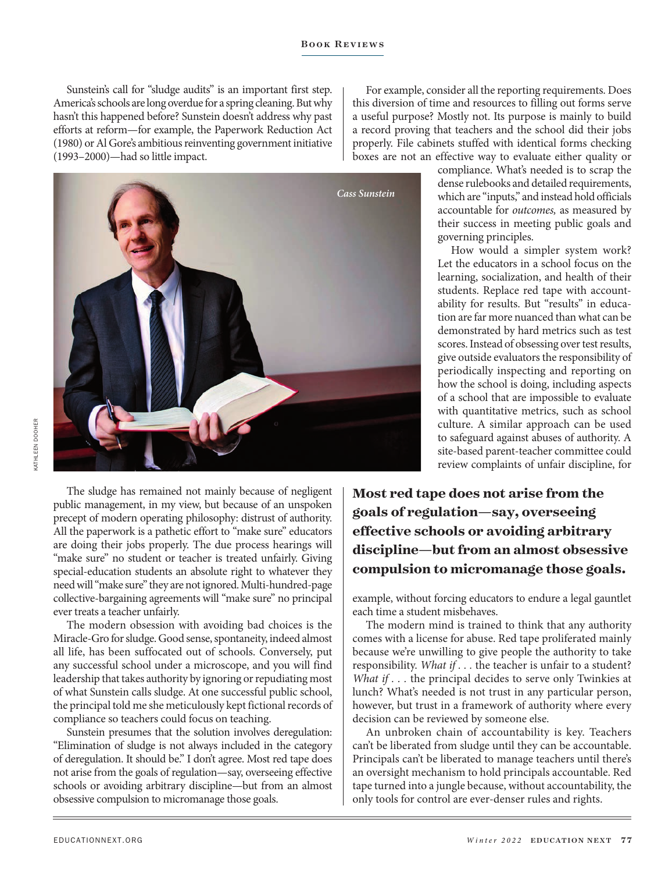Sunstein's call for "sludge audits" is an important first step. America's schools are long overdue for a spring cleaning. But why hasn't this happened before? Sunstein doesn't address why past efforts at reform—for example, the Paperwork Reduction Act (1980) or Al Gore's ambitious reinventing government initiative (1993–2000)—had so little impact.



For example, consider all the reporting requirements. Does this diversion of time and resources to filling out forms serve a useful purpose? Mostly not. Its purpose is mainly to build a record proving that teachers and the school did their jobs properly. File cabinets stuffed with identical forms checking boxes are not an effective way to evaluate either quality or

> compliance. What's needed is to scrap the dense rulebooks and detailed requirements, which are "inputs," and instead hold officials accountable for *outcomes,* as measured by their success in meeting public goals and governing principles.

> How would a simpler system work? Let the educators in a school focus on the learning, socialization, and health of their students. Replace red tape with accountability for results. But "results" in education are far more nuanced than what can be demonstrated by hard metrics such as test scores. Instead of obsessing over test results, give outside evaluators the responsibility of periodically inspecting and reporting on how the school is doing, including aspects of a school that are impossible to evaluate with quantitative metrics, such as school culture. A similar approach can be used to safeguard against abuses of authority. A site-based parent-teacher committee could review complaints of unfair discipline, for

The sludge has remained not mainly because of negligent public management, in my view, but because of an unspoken precept of modern operating philosophy: distrust of authority. All the paperwork is a pathetic effort to "make sure" educators are doing their jobs properly. The due process hearings will "make sure" no student or teacher is treated unfairly. Giving special-education students an absolute right to whatever they need will "make sure" they are not ignored. Multi-hundred-page collective-bargaining agreements will "make sure" no principal ever treats a teacher unfairly.

The modern obsession with avoiding bad choices is the Miracle-Gro for sludge. Good sense, spontaneity, indeed almost all life, has been suffocated out of schools. Conversely, put any successful school under a microscope, and you will find leadership that takes authority by ignoring or repudiating most of what Sunstein calls sludge. At one successful public school, the principal told me she meticulously kept fictional records of compliance so teachers could focus on teaching.

Sunstein presumes that the solution involves deregulation: "Elimination of sludge is not always included in the category of deregulation. It should be." I don't agree. Most red tape does not arise from the goals of regulation—say, overseeing effective schools or avoiding arbitrary discipline—but from an almost obsessive compulsion to micromanage those goals.

**Most red tape does not arise from the goals of regulation—say, overseeing effective schools or avoiding arbitrary discipline—but from an almost obsessive compulsion to micromanage those goals.**

example, without forcing educators to endure a legal gauntlet each time a student misbehaves.

The modern mind is trained to think that any authority comes with a license for abuse. Red tape proliferated mainly because we're unwilling to give people the authority to take responsibility. *What if . . .* the teacher is unfair to a student? *What if ...* the principal decides to serve only Twinkies at lunch? What's needed is not trust in any particular person, however, but trust in a framework of authority where every decision can be reviewed by someone else.

An unbroken chain of accountability is key. Teachers can't be liberated from sludge until they can be accountable. Principals can't be liberated to manage teachers until there's an oversight mechanism to hold principals accountable. Red tape turned into a jungle because, without accountability, the only tools for control are ever-denser rules and rights.